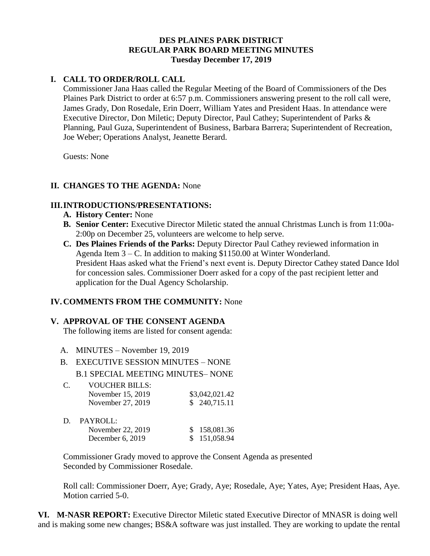### **DES PLAINES PARK DISTRICT REGULAR PARK BOARD MEETING MINUTES Tuesday December 17, 2019**

### **I. CALL TO ORDER/ROLL CALL**

Commissioner Jana Haas called the Regular Meeting of the Board of Commissioners of the Des Plaines Park District to order at 6:57 p.m. Commissioners answering present to the roll call were, James Grady, Don Rosedale, Erin Doerr, William Yates and President Haas. In attendance were Executive Director, Don Miletic; Deputy Director, Paul Cathey; Superintendent of Parks & Planning, Paul Guza, Superintendent of Business, Barbara Barrera; Superintendent of Recreation, Joe Weber; Operations Analyst, Jeanette Berard.

Guests: None

### **II. CHANGES TO THE AGENDA:** None

### **III.INTRODUCTIONS/PRESENTATIONS:**

- **A. History Center:** None
- **B. Senior Center:** Executive Director Miletic stated the annual Christmas Lunch is from 11:00a-2:00p on December 25, volunteers are welcome to help serve.
- **C. Des Plaines Friends of the Parks:** Deputy Director Paul Cathey reviewed information in Agenda Item 3 – C. In addition to making \$1150.00 at Winter Wonderland. President Haas asked what the Friend's next event is. Deputy Director Cathey stated Dance Idol for concession sales. Commissioner Doerr asked for a copy of the past recipient letter and application for the Dual Agency Scholarship.

## **IV.COMMENTS FROM THE COMMUNITY:** None

### **V. APPROVAL OF THE CONSENT AGENDA**

The following items are listed for consent agenda:

- A. MINUTES November 19, 2019
- B. EXECUTIVE SESSION MINUTES NONE B.1 SPECIAL MEETING MINUTES– NONE

| C. | <b>VOUCHER BILLS:</b> |                |
|----|-----------------------|----------------|
|    | November 15, 2019     | \$3,042,021.42 |
|    | November 27, 2019     | \$240,715.11   |

| D. | PAYROLL:           |              |
|----|--------------------|--------------|
|    | November 22, 2019  | \$158,081.36 |
|    | December $6, 2019$ | \$151,058.94 |

Commissioner Grady moved to approve the Consent Agenda as presented Seconded by Commissioner Rosedale.

Roll call: Commissioner Doerr, Aye; Grady, Aye; Rosedale, Aye; Yates, Aye; President Haas, Aye. Motion carried 5-0.

**VI. M-NASR REPORT:** Executive Director Miletic stated Executive Director of MNASR is doing well and is making some new changes; BS&A software was just installed. They are working to update the rental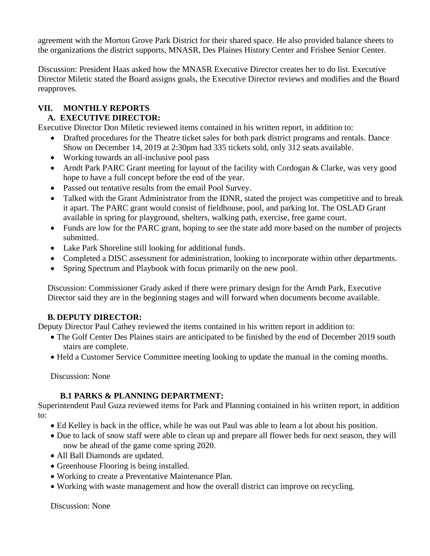agreement with the Morton Grove Park District for their shared space. He also provided balance sheets to the organizations the district supports, MNASR, Des Plaines History Center and Frisbee Senior Center.

Discussion: President Haas asked how the MNASR Executive Director creates her to do list. Executive Director Miletic stated the Board assigns goals, the Executive Director reviews and modifies and the Board reapproves.

# **VII. MONTHLY REPORTS**

## **A. EXECUTIVE DIRECTOR:**

Executive Director Don Miletic reviewed items contained in his written report, in addition to:

- Drafted procedures for the Theatre ticket sales for both park district programs and rentals. Dance Show on December 14, 2019 at 2:30pm had 335 tickets sold, only 312 seats available.
- Working towards an all-inclusive pool pass
- Arndt Park PARC Grant meeting for layout of the facility with Cordogan & Clarke, was very good hope to have a full concept before the end of the year.
- Passed out tentative results from the email Pool Survey.
- Talked with the Grant Administrator from the IDNR, stated the project was competitive and to break it apart. The PARC grant would consist of fieldhouse, pool, and parking lot. The OSLAD Grant available in spring for playground, shelters, walking path, exercise, free game court.
- Funds are low for the PARC grant, hoping to see the state add more based on the number of projects submitted.
- Lake Park Shoreline still looking for additional funds.
- Completed a DISC assessment for administration, looking to incorporate within other departments.
- Spring Spectrum and Playbook with focus primarily on the new pool.

Discussion: Commissioner Grady asked if there were primary design for the Arndt Park, Executive Director said they are in the beginning stages and will forward when documents become available.

## **B. DEPUTY DIRECTOR:**

Deputy Director Paul Cathey reviewed the items contained in his written report in addition to:

- The Golf Center Des Plaines stairs are anticipated to be finished by the end of December 2019 south stairs are complete.
- Held a Customer Service Committee meeting looking to update the manual in the coming months.

Discussion: None

## **B.1 PARKS & PLANNING DEPARTMENT:**

Superintendent Paul Guza reviewed items for Park and Planning contained in his written report, in addition to:

- Ed Kelley is back in the office, while he was out Paul was able to learn a lot about his position.
- Due to lack of snow staff were able to clean up and prepare all flower beds for next season, they will now be ahead of the game come spring 2020.
- All Ball Diamonds are updated.
- Greenhouse Flooring is being installed.
- Working to create a Preventative Maintenance Plan.
- Working with waste management and how the overall district can improve on recycling.

Discussion: None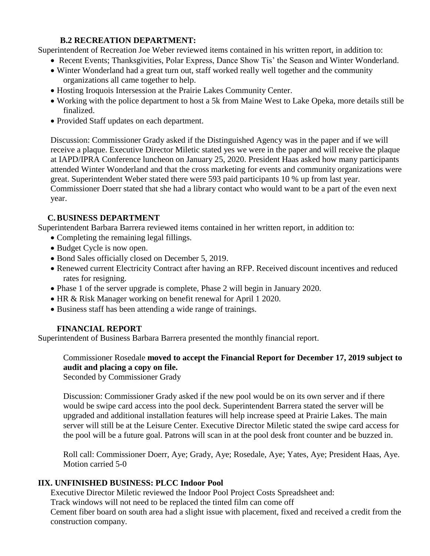### **B.2 RECREATION DEPARTMENT:**

Superintendent of Recreation Joe Weber reviewed items contained in his written report, in addition to:

- Recent Events; Thanksgivities, Polar Express, Dance Show Tis' the Season and Winter Wonderland.
- Winter Wonderland had a great turn out, staff worked really well together and the community organizations all came together to help.
- Hosting Iroquois Intersession at the Prairie Lakes Community Center.
- Working with the police department to host a 5k from Maine West to Lake Opeka, more details still be finalized.
- Provided Staff updates on each department.

Discussion: Commissioner Grady asked if the Distinguished Agency was in the paper and if we will receive a plaque. Executive Director Miletic stated yes we were in the paper and will receive the plaque at IAPD/IPRA Conference luncheon on January 25, 2020. President Haas asked how many participants attended Winter Wonderland and that the cross marketing for events and community organizations were great. Superintendent Weber stated there were 593 paid participants 10 % up from last year. Commissioner Doerr stated that she had a library contact who would want to be a part of the even next year.

## **C.BUSINESS DEPARTMENT**

Superintendent Barbara Barrera reviewed items contained in her written report, in addition to:

- Completing the remaining legal fillings.
- Budget Cycle is now open.
- Bond Sales officially closed on December 5, 2019.
- Renewed current Electricity Contract after having an RFP. Received discount incentives and reduced rates for resigning.
- Phase 1 of the server upgrade is complete, Phase 2 will begin in January 2020.
- HR & Risk Manager working on benefit renewal for April 1 2020.
- Business staff has been attending a wide range of trainings.

## **FINANCIAL REPORT**

Superintendent of Business Barbara Barrera presented the monthly financial report.

Commissioner Rosedale **moved to accept the Financial Report for December 17, 2019 subject to audit and placing a copy on file.**

Seconded by Commissioner Grady

Discussion: Commissioner Grady asked if the new pool would be on its own server and if there would be swipe card access into the pool deck. Superintendent Barrera stated the server will be upgraded and additional installation features will help increase speed at Prairie Lakes. The main server will still be at the Leisure Center. Executive Director Miletic stated the swipe card access for the pool will be a future goal. Patrons will scan in at the pool desk front counter and be buzzed in.

Roll call: Commissioner Doerr, Aye; Grady, Aye; Rosedale, Aye; Yates, Aye; President Haas, Aye. Motion carried 5-0

## **IIX. UNFINISHED BUSINESS: PLCC Indoor Pool**

Executive Director Miletic reviewed the Indoor Pool Project Costs Spreadsheet and:

Track windows will not need to be replaced the tinted film can come off

Cement fiber board on south area had a slight issue with placement, fixed and received a credit from the construction company.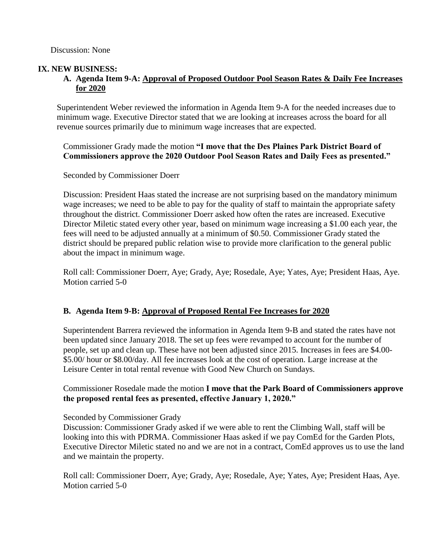#### **IX. NEW BUSINESS:**

### **A. Agenda Item 9-A: Approval of Proposed Outdoor Pool Season Rates & Daily Fee Increases for 2020**

Superintendent Weber reviewed the information in Agenda Item 9-A for the needed increases due to minimum wage. Executive Director stated that we are looking at increases across the board for all revenue sources primarily due to minimum wage increases that are expected.

Commissioner Grady made the motion **"I move that the Des Plaines Park District Board of Commissioners approve the 2020 Outdoor Pool Season Rates and Daily Fees as presented."**

Seconded by Commissioner Doerr

Discussion: President Haas stated the increase are not surprising based on the mandatory minimum wage increases; we need to be able to pay for the quality of staff to maintain the appropriate safety throughout the district. Commissioner Doerr asked how often the rates are increased. Executive Director Miletic stated every other year, based on minimum wage increasing a \$1.00 each year, the fees will need to be adjusted annually at a minimum of \$0.50. Commissioner Grady stated the district should be prepared public relation wise to provide more clarification to the general public about the impact in minimum wage.

Roll call: Commissioner Doerr, Aye; Grady, Aye; Rosedale, Aye; Yates, Aye; President Haas, Aye. Motion carried 5-0

### **B. Agenda Item 9-B: Approval of Proposed Rental Fee Increases for 2020**

Superintendent Barrera reviewed the information in Agenda Item 9-B and stated the rates have not been updated since January 2018. The set up fees were revamped to account for the number of people, set up and clean up. These have not been adjusted since 2015. Increases in fees are \$4.00- \$5.00/ hour or \$8.00/day. All fee increases look at the cost of operation. Large increase at the Leisure Center in total rental revenue with Good New Church on Sundays.

### Commissioner Rosedale made the motion **I move that the Park Board of Commissioners approve the proposed rental fees as presented, effective January 1, 2020."**

#### Seconded by Commissioner Grady

Discussion: Commissioner Grady asked if we were able to rent the Climbing Wall, staff will be looking into this with PDRMA. Commissioner Haas asked if we pay ComEd for the Garden Plots, Executive Director Miletic stated no and we are not in a contract, ComEd approves us to use the land and we maintain the property.

Roll call: Commissioner Doerr, Aye; Grady, Aye; Rosedale, Aye; Yates, Aye; President Haas, Aye. Motion carried 5-0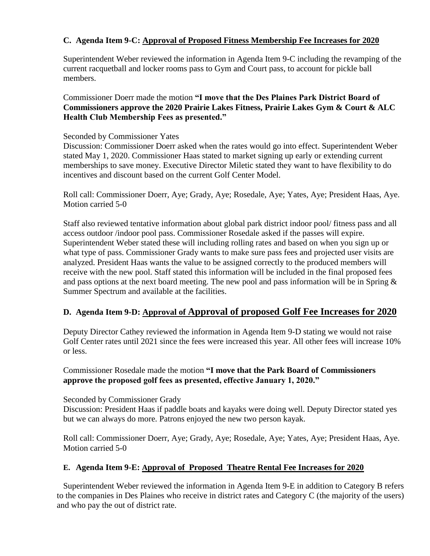### **C. Agenda Item 9-C: Approval of Proposed Fitness Membership Fee Increases for 2020**

Superintendent Weber reviewed the information in Agenda Item 9-C including the revamping of the current racquetball and locker rooms pass to Gym and Court pass, to account for pickle ball members.

Commissioner Doerr made the motion **"I move that the Des Plaines Park District Board of Commissioners approve the 2020 Prairie Lakes Fitness, Prairie Lakes Gym & Court & ALC Health Club Membership Fees as presented."**

#### Seconded by Commissioner Yates

Discussion: Commissioner Doerr asked when the rates would go into effect. Superintendent Weber stated May 1, 2020. Commissioner Haas stated to market signing up early or extending current memberships to save money. Executive Director Miletic stated they want to have flexibility to do incentives and discount based on the current Golf Center Model.

Roll call: Commissioner Doerr, Aye; Grady, Aye; Rosedale, Aye; Yates, Aye; President Haas, Aye. Motion carried 5-0

Staff also reviewed tentative information about global park district indoor pool/ fitness pass and all access outdoor /indoor pool pass. Commissioner Rosedale asked if the passes will expire. Superintendent Weber stated these will including rolling rates and based on when you sign up or what type of pass. Commissioner Grady wants to make sure pass fees and projected user visits are analyzed. President Haas wants the value to be assigned correctly to the produced members will receive with the new pool. Staff stated this information will be included in the final proposed fees and pass options at the next board meeting. The new pool and pass information will be in Spring & Summer Spectrum and available at the facilities.

## **D. Agenda Item 9-D: Approval of Approval of proposed Golf Fee Increases for 2020**

Deputy Director Cathey reviewed the information in Agenda Item 9-D stating we would not raise Golf Center rates until 2021 since the fees were increased this year. All other fees will increase 10% or less.

Commissioner Rosedale made the motion **"I move that the Park Board of Commissioners approve the proposed golf fees as presented, effective January 1, 2020."**

Seconded by Commissioner Grady

Discussion: President Haas if paddle boats and kayaks were doing well. Deputy Director stated yes but we can always do more. Patrons enjoyed the new two person kayak.

Roll call: Commissioner Doerr, Aye; Grady, Aye; Rosedale, Aye; Yates, Aye; President Haas, Aye. Motion carried 5-0

### **E. Agenda Item 9-E: Approval of Proposed Theatre Rental Fee Increases for 2020**

Superintendent Weber reviewed the information in Agenda Item 9-E in addition to Category B refers to the companies in Des Plaines who receive in district rates and Category C (the majority of the users) and who pay the out of district rate.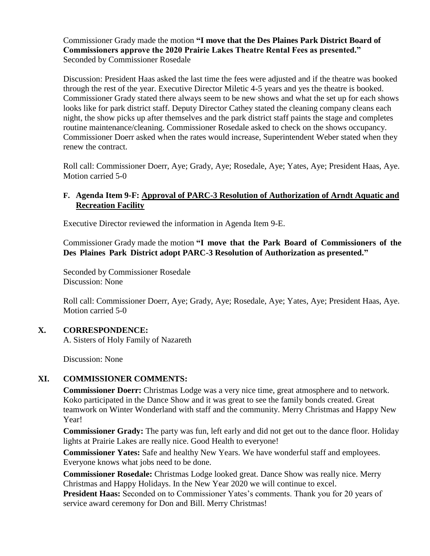Commissioner Grady made the motion **"I move that the Des Plaines Park District Board of Commissioners approve the 2020 Prairie Lakes Theatre Rental Fees as presented."** Seconded by Commissioner Rosedale

Discussion: President Haas asked the last time the fees were adjusted and if the theatre was booked through the rest of the year. Executive Director Miletic 4-5 years and yes the theatre is booked. Commissioner Grady stated there always seem to be new shows and what the set up for each shows looks like for park district staff. Deputy Director Cathey stated the cleaning company cleans each night, the show picks up after themselves and the park district staff paints the stage and completes routine maintenance/cleaning. Commissioner Rosedale asked to check on the shows occupancy. Commissioner Doerr asked when the rates would increase, Superintendent Weber stated when they renew the contract.

Roll call: Commissioner Doerr, Aye; Grady, Aye; Rosedale, Aye; Yates, Aye; President Haas, Aye. Motion carried 5-0

#### **F. Agenda Item 9-F: Approval of PARC-3 Resolution of Authorization of Arndt Aquatic and Recreation Facility**

Executive Director reviewed the information in Agenda Item 9-E.

Commissioner Grady made the motion **"I move that the Park Board of Commissioners of the Des Plaines Park District adopt PARC-3 Resolution of Authorization as presented."**

Seconded by Commissioner Rosedale Discussion: None

Roll call: Commissioner Doerr, Aye; Grady, Aye; Rosedale, Aye; Yates, Aye; President Haas, Aye. Motion carried 5-0

### **X. CORRESPONDENCE:**

A. Sisters of Holy Family of Nazareth

Discussion: None

### **XI. COMMISSIONER COMMENTS:**

**Commissioner Doerr:** Christmas Lodge was a very nice time, great atmosphere and to network. Koko participated in the Dance Show and it was great to see the family bonds created. Great teamwork on Winter Wonderland with staff and the community. Merry Christmas and Happy New Year!

**Commissioner Grady:** The party was fun, left early and did not get out to the dance floor. Holiday lights at Prairie Lakes are really nice. Good Health to everyone!

**Commissioner Yates:** Safe and healthy New Years. We have wonderful staff and employees. Everyone knows what jobs need to be done.

**Commissioner Rosedale:** Christmas Lodge looked great. Dance Show was really nice. Merry Christmas and Happy Holidays. In the New Year 2020 we will continue to excel.

**President Haas:** Seconded on to Commissioner Yates's comments. Thank you for 20 years of service award ceremony for Don and Bill. Merry Christmas!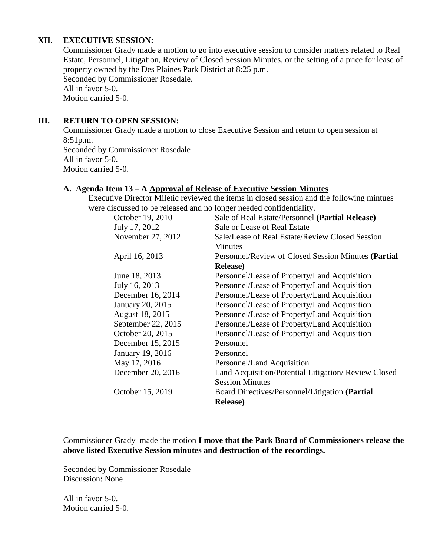#### **XII. EXECUTIVE SESSION:**

Commissioner Grady made a motion to go into executive session to consider matters related to Real Estate, Personnel, Litigation, Review of Closed Session Minutes, or the setting of a price for lease of property owned by the Des Plaines Park District at 8:25 p.m. Seconded by Commissioner Rosedale. All in favor 5-0. Motion carried 5-0.

#### **III. RETURN TO OPEN SESSION:**

Commissioner Grady made a motion to close Executive Session and return to open session at 8:51p.m. Seconded by Commissioner Rosedale All in favor 5-0. Motion carried 5-0.

### **A. Agenda Item 13 – A Approval of Release of Executive Session Minutes**

Executive Director Miletic reviewed the items in closed session and the following mintues were discussed to be released and no longer needed confidentiality.

| October 19, 2010   | Sale of Real Estate/Personnel (Partial Release)      |
|--------------------|------------------------------------------------------|
|                    |                                                      |
| July 17, 2012      | Sale or Lease of Real Estate                         |
| November 27, 2012  | Sale/Lease of Real Estate/Review Closed Session      |
|                    | <b>Minutes</b>                                       |
| April 16, 2013     | Personnel/Review of Closed Session Minutes (Partial  |
|                    | <b>Release</b> )                                     |
| June 18, 2013      | Personnel/Lease of Property/Land Acquisition         |
| July 16, 2013      | Personnel/Lease of Property/Land Acquisition         |
| December 16, 2014  | Personnel/Lease of Property/Land Acquisition         |
| January 20, 2015   | Personnel/Lease of Property/Land Acquisition         |
| August 18, 2015    | Personnel/Lease of Property/Land Acquisition         |
| September 22, 2015 | Personnel/Lease of Property/Land Acquisition         |
| October 20, 2015   | Personnel/Lease of Property/Land Acquisition         |
| December 15, 2015  | Personnel                                            |
| January 19, 2016   | Personnel                                            |
| May 17, 2016       | Personnel/Land Acquisition                           |
| December 20, 2016  | Land Acquisition/Potential Litigation/ Review Closed |
|                    | <b>Session Minutes</b>                               |
| October 15, 2019   | Board Directives/Personnel/Litigation (Partial       |
|                    | <b>Release</b> )                                     |
|                    |                                                      |

Commissioner Grady made the motion **I move that the Park Board of Commissioners release the above listed Executive Session minutes and destruction of the recordings.**

Seconded by Commissioner Rosedale Discussion: None

All in favor 5-0. Motion carried 5-0.